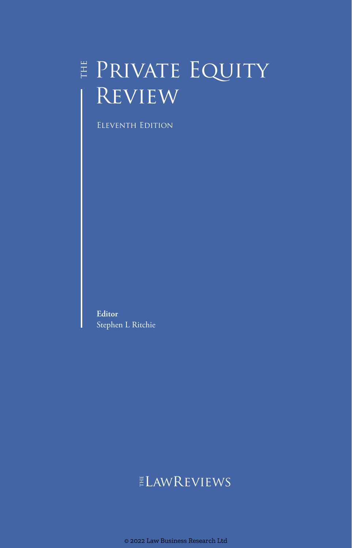## $\sharp$  Private Equity **REVIEW**

Eleventh Edition

**Editor** Stephen L Ritchie

### **ELAWREVIEWS**

© 2022 Law Business Research Ltd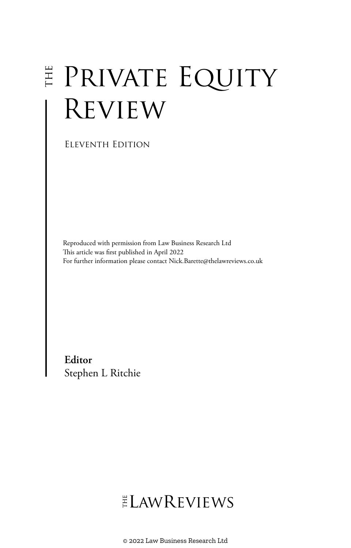# E PRIVATE EQUITY **REVIEW**

Eleventh Edition

Reproduced with permission from Law Business Research Ltd This article was first published in April 2022 For further information please contact Nick.Barette@thelawreviews.co.uk

**Editor** Stephen L Ritchie

## ELAWREVIEWS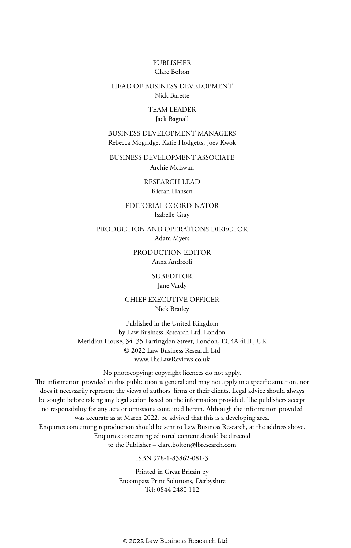#### PUBLISHER Clare Bolton

#### HEAD OF BUSINESS DEVELOPMENT Nick Barette

#### TEAM LEADER Jack Bagnall

#### BUSINESS DEVELOPMENT MANAGERS Rebecca Mogridge, Katie Hodgetts, Joey Kwok

BUSINESS DEVELOPMENT ASSOCIATE Archie McEwan

> RESEARCH LEAD Kieran Hansen

#### EDITORIAL COORDINATOR Isabelle Gray

PRODUCTION AND OPERATIONS DIRECTOR Adam Myers

> PRODUCTION EDITOR Anna Andreoli

> > SUBEDITOR Jane Vardy

CHIEF EXECUTIVE OFFICER Nick Brailey

Published in the United Kingdom by Law Business Research Ltd, London Meridian House, 34–35 Farringdon Street, London, EC4A 4HL, UK © 2022 Law Business Research Ltd www.TheLawReviews.co.uk

No photocopying: copyright licences do not apply. The information provided in this publication is general and may not apply in a specific situation, nor does it necessarily represent the views of authors' firms or their clients. Legal advice should always be sought before taking any legal action based on the information provided. The publishers accept no responsibility for any acts or omissions contained herein. Although the information provided was accurate as at March 2022, be advised that this is a developing area. Enquiries concerning reproduction should be sent to Law Business Research, at the address above. Enquiries concerning editorial content should be directed to the Publisher – clare.bolton@lbresearch.com

#### ISBN 978-1-83862-081-3

Printed in Great Britain by Encompass Print Solutions, Derbyshire Tel: 0844 2480 112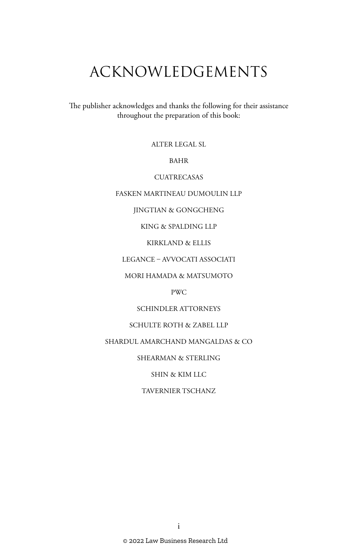## ACKNOWLEDGEMENTS

The publisher acknowledges and thanks the following for their assistance throughout the preparation of this book:

ALTER LEGAL SL

BAHR

**CUATRECASAS** 

FASKEN MARTINEAU DUMOULIN LLP

JINGTIAN & GONGCHENG

KING & SPALDING LLP

KIRKLAND & ELLIS

LEGANCE – AVVOCATI ASSOCIATI

MORI HAMADA & MATSUMOTO

PWC

SCHINDLER ATTORNEYS

SCHULTE ROTH & ZABEL LLP

SHARDUL AMARCHAND MANGALDAS & CO

SHEARMAN & STERLING

SHIN & KIM LLC

TAVERNIER TSCHANZ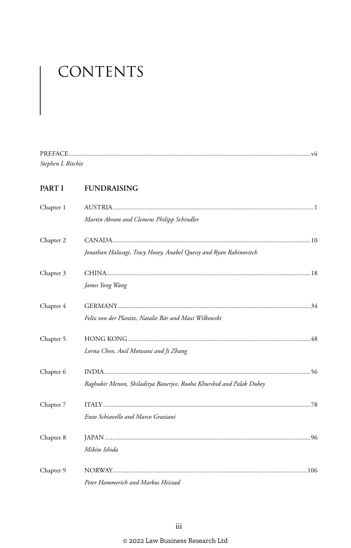## CONTENTS

| PREFACE           |  |
|-------------------|--|
| Stephen L Ritchie |  |

#### PART I FUNDRAISING

| Chapter 1 |                                                                     |  |
|-----------|---------------------------------------------------------------------|--|
|           | Martin Abram and Clemens Philipp Schindler                          |  |
| Chapter 2 |                                                                     |  |
|           | Jonathan Halwagi, Tracy Hooey, Anabel Quessy and Ryan Rabinovitch   |  |
| Chapter 3 |                                                                     |  |
|           | James Yong Wang                                                     |  |
| Chapter 4 |                                                                     |  |
|           | Felix von der Planitz, Natalie Bär and Maxi Wilkowski               |  |
| Chapter 5 |                                                                     |  |
|           | Lorna Chen, Anil Motwani and Ji Zhang                               |  |
| Chapter 6 |                                                                     |  |
|           | Raghubir Menon, Shiladitya Banerjee, Rooha Khurshid and Palak Dubey |  |
| Chapter 7 |                                                                     |  |
|           | Enzo Schiavello and Marco Graziani                                  |  |
| Chapter 8 |                                                                     |  |
|           | Mikito Ishida                                                       |  |
| Chapter 9 |                                                                     |  |
|           | Peter Hammerich and Markus Heistad                                  |  |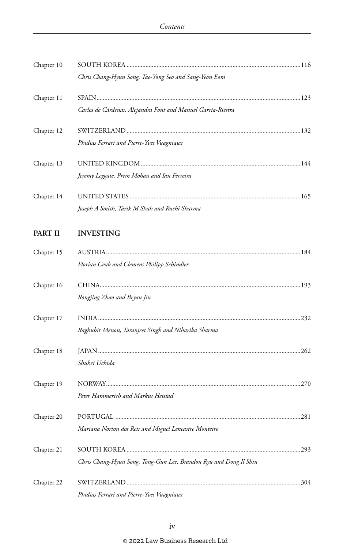| Chapter 10     |                                                                   |  |
|----------------|-------------------------------------------------------------------|--|
|                | Chris Chang-Hyun Song, Tae-Yong Seo and Sang-Yeon Eom             |  |
| Chapter 11     |                                                                   |  |
|                | Carlos de Cárdenas, Alejandra Font and Manuel García-Riestra      |  |
| Chapter 12     |                                                                   |  |
|                | Phidias Ferrari and Pierre-Yves Vuagniaux                         |  |
| Chapter 13     |                                                                   |  |
|                | Jeremy Leggate, Prem Mohan and Ian Ferreira                       |  |
| Chapter 14     |                                                                   |  |
|                | Joseph A Smith, Tarik M Shah and Ruchi Sharma                     |  |
| <b>PART II</b> | <b>INVESTING</b>                                                  |  |
| Chapter 15     |                                                                   |  |
|                | Florian Cvak and Clemens Philipp Schindler                        |  |
| Chapter 16     |                                                                   |  |
|                | Rongjing Zhao and Bryan Jin                                       |  |
| Chapter 17     |                                                                   |  |
|                | Raghubir Menon, Taranjeet Singh and Niharika Sharma               |  |
| Chapter 18     |                                                                   |  |
|                | Shuhei Uchida                                                     |  |
| Chapter 19     |                                                                   |  |
|                | Peter Hammerich and Markus Heistad                                |  |
| Chapter 20     |                                                                   |  |
|                | Mariana Norton dos Reis and Miguel Lencastre Monteiro             |  |
| Chapter 21     |                                                                   |  |
|                | Chris Chang-Hyun Song, Tong-Gun Lee, Brandon Ryu and Dong Il Shin |  |
| Chapter 22     |                                                                   |  |
|                | Phidias Ferrari and Pierre-Yves Vuagniaux                         |  |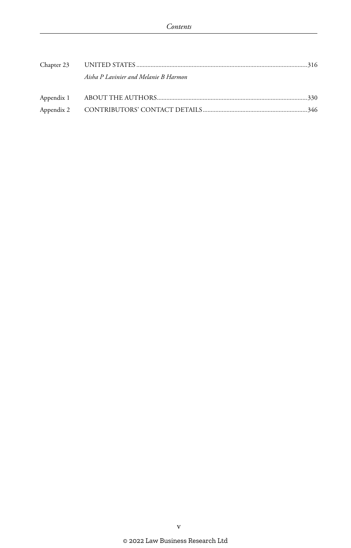| Aisha P Lavinier and Melanie B Harmon |  |
|---------------------------------------|--|
|                                       |  |
|                                       |  |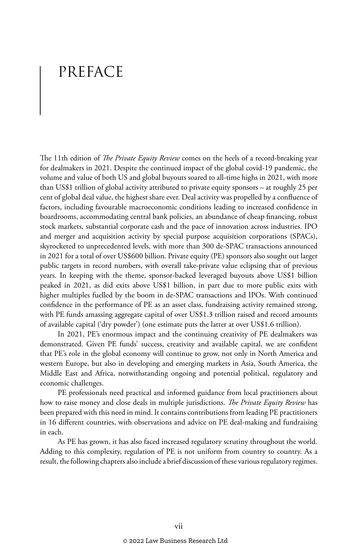### PREFACE

The 11th edition of *The Private Equity Review* comes on the heels of a record-breaking year for dealmakers in 2021. Despite the continued impact of the global covid-19 pandemic, the volume and value of both US and global buyouts soared to all-time highs in 2021, with more than US\$1 trillion of global activity attributed to private equity sponsors – at roughly 25 per cent of global deal value, the highest share ever. Deal activity was propelled by a confluence of factors, including favourable macroeconomic conditions leading to increased confidence in boardrooms, accommodating central bank policies, an abundance of cheap financing, robust stock markets, substantial corporate cash and the pace of innovation across industries. IPO and merger and acquisition activity by special purpose acquisition corporations (SPACs), skyrocketed to unprecedented levels, with more than 300 de-SPAC transactions announced in 2021 for a total of over US\$600 billion. Private equity (PE) sponsors also sought out larger public targets in record numbers, with overall take-private value eclipsing that of previous years. In keeping with the theme, sponsor-backed leveraged buyouts above US\$1 billion peaked in 2021, as did exits above US\$1 billion, in part due to more public exits with higher multiples fuelled by the boom in de-SPAC transactions and IPOs. With continued confidence in the performance of PE as an asset class, fundraising activity remained strong, with PE funds amassing aggregate capital of over US\$1.3 trillion raised and record amounts of available capital ('dry powder') (one estimate puts the latter at over US\$1.6 trillion).

In 2021, PE's enormous impact and the continuing creativity of PE dealmakers was demonstrated. Given PE funds' success, creativity and available capital, we are confident that PE's role in the global economy will continue to grow, not only in North America and western Europe, but also in developing and emerging markets in Asia, South America, the Middle East and Africa, notwithstanding ongoing and potential political, regulatory and economic challenges.

PE professionals need practical and informed guidance from local practitioners about how to raise money and close deals in multiple jurisdictions. *The Private Equity Review* has been prepared with this need in mind. It contains contributions from leading PE practitioners in 16 different countries, with observations and advice on PE deal-making and fundraising in each.

As PE has grown, it has also faced increased regulatory scrutiny throughout the world. Adding to this complexity, regulation of PE is not uniform from country to country. As a result, the following chapters also include a brief discussion of these various regulatory regimes.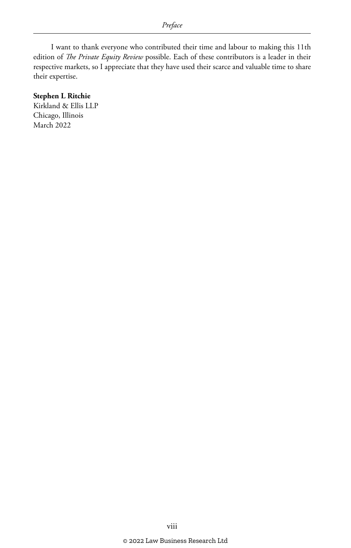I want to thank everyone who contributed their time and labour to making this 11th edition of *The Private Equity Review* possible. Each of these contributors is a leader in their respective markets, so I appreciate that they have used their scarce and valuable time to share their expertise.

#### **Stephen L Ritchie**

Kirkland & Ellis LLP Chicago, Illinois March 2022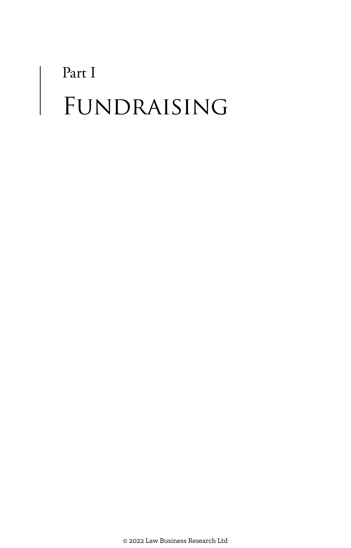# Part I FUNDRAISING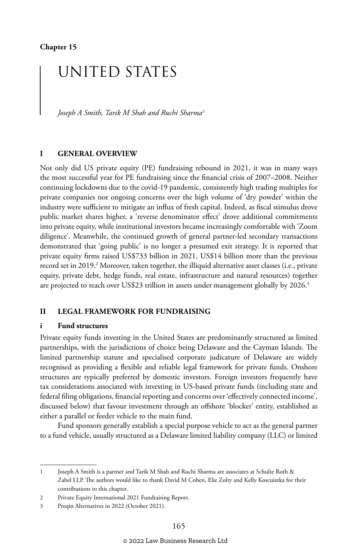## UNITED STATES

*Joseph A Smith, Tarik M Shah and Ruchi Sharma*<sup>1</sup>

#### **I GENERAL OVERVIEW**

Not only did US private equity (PE) fundraising rebound in 2021, it was in many ways the most successful year for PE fundraising since the financial crisis of 2007–2008. Neither continuing lockdowns due to the covid-19 pandemic, consistently high trading multiples for private companies nor ongoing concerns over the high volume of 'dry powder' within the industry were sufficient to mitigate an influx of fresh capital. Indeed, as fiscal stimulus drove public market shares higher, a 'reverse denominator effect' drove additional commitments into private equity, while institutional investors became increasingly comfortable with 'Zoom diligence'. Meanwhile, the continued growth of general partner-led secondary transactions demonstrated that 'going public' is no longer a presumed exit strategy. It is reported that private equity firms raised US\$733 billion in 2021, US\$14 billion more than the previous record set in 2019.<sup>2</sup> Moreover, taken together, the illiquid alternative asset classes (i.e., private equity, private debt, hedge funds, real estate, infrastructure and natural resources) together are projected to reach over US\$23 trillion in assets under management globally by 2026.<sup>3</sup>

#### **II LEGAL FRAMEWORK FOR FUNDRAISING**

#### **i Fund structures**

Private equity funds investing in the United States are predominantly structured as limited partnerships, with the jurisdictions of choice being Delaware and the Cayman Islands. The limited partnership statute and specialised corporate judicature of Delaware are widely recognised as providing a flexible and reliable legal framework for private funds. Onshore structures are typically preferred by domestic investors. Foreign investors frequently have tax considerations associated with investing in US-based private funds (including state and federal filing obligations, financial reporting and concerns over 'effectively connected income', discussed below) that favour investment through an offshore 'blocker' entity, established as either a parallel or feeder vehicle to the main fund.

Fund sponsors generally establish a special purpose vehicle to act as the general partner to a fund vehicle, usually structured as a Delaware limited liability company (LLC) or limited

<sup>1</sup> Joseph A Smith is a partner and Tarik M Shah and Ruchi Sharma are associates at Schulte Roth & Zabel LLP. The authors would like to thank David M Cohen, Elie Zolty and Kelly Koscuiszka for their contributions to this chapter.

<sup>2</sup> Private Equity International 2021 Fundraising Report.

<sup>3</sup> Preqin Alternatives in 2022 (October 2021).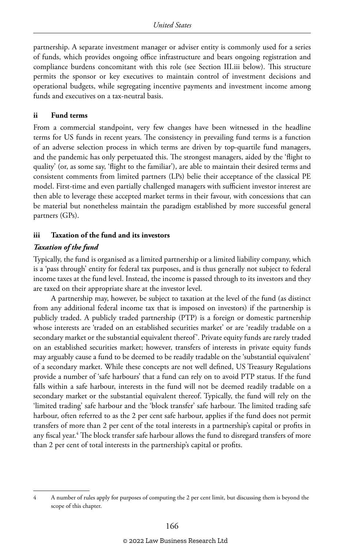partnership. A separate investment manager or adviser entity is commonly used for a series of funds, which provides ongoing office infrastructure and bears ongoing registration and compliance burdens concomitant with this role (see Section III.iii below). This structure permits the sponsor or key executives to maintain control of investment decisions and operational budgets, while segregating incentive payments and investment income among funds and executives on a tax-neutral basis.

#### **ii Fund terms**

From a commercial standpoint, very few changes have been witnessed in the headline terms for US funds in recent years. The consistency in prevailing fund terms is a function of an adverse selection process in which terms are driven by top-quartile fund managers, and the pandemic has only perpetuated this. The strongest managers, aided by the 'flight to quality' (or, as some say, 'flight to the familiar'), are able to maintain their desired terms and consistent comments from limited partners (LPs) belie their acceptance of the classical PE model. First-time and even partially challenged managers with sufficient investor interest are then able to leverage these accepted market terms in their favour, with concessions that can be material but nonetheless maintain the paradigm established by more successful general partners (GPs).

#### **iii Taxation of the fund and its investors**

#### *Taxation of the fund*

Typically, the fund is organised as a limited partnership or a limited liability company, which is a 'pass through' entity for federal tax purposes, and is thus generally not subject to federal income taxes at the fund level. Instead, the income is passed through to its investors and they are taxed on their appropriate share at the investor level.

A partnership may, however, be subject to taxation at the level of the fund (as distinct from any additional federal income tax that is imposed on investors) if the partnership is publicly traded. A publicly traded partnership (PTP) is a foreign or domestic partnership whose interests are 'traded on an established securities market' or are 'readily tradable on a secondary market or the substantial equivalent thereof'. Private equity funds are rarely traded on an established securities market; however, transfers of interests in private equity funds may arguably cause a fund to be deemed to be readily tradable on the 'substantial equivalent' of a secondary market. While these concepts are not well defined, US Treasury Regulations provide a number of 'safe harbours' that a fund can rely on to avoid PTP status. If the fund falls within a safe harbour, interests in the fund will not be deemed readily tradable on a secondary market or the substantial equivalent thereof. Typically, the fund will rely on the 'limited trading' safe harbour and the 'block transfer' safe harbour. The limited trading safe harbour, often referred to as the 2 per cent safe harbour, applies if the fund does not permit transfers of more than 2 per cent of the total interests in a partnership's capital or profits in any fiscal year.<sup>4</sup> The block transfer safe harbour allows the fund to disregard transfers of more than 2 per cent of total interests in the partnership's capital or profits.

<sup>4</sup> A number of rules apply for purposes of computing the 2 per cent limit, but discussing them is beyond the scope of this chapter.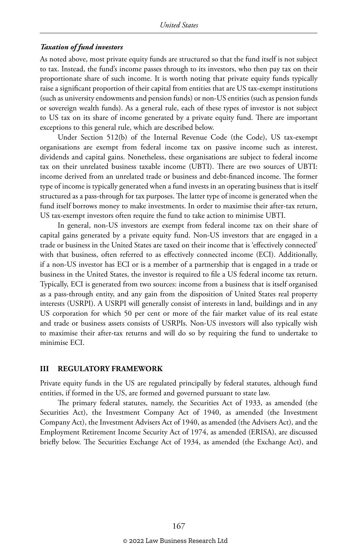#### *Taxation of fund investors*

As noted above, most private equity funds are structured so that the fund itself is not subject to tax. Instead, the fund's income passes through to its investors, who then pay tax on their proportionate share of such income. It is worth noting that private equity funds typically raise a significant proportion of their capital from entities that are US tax-exempt institutions (such as university endowments and pension funds) or non-US entities (such as pension funds or sovereign wealth funds). As a general rule, each of these types of investor is not subject to US tax on its share of income generated by a private equity fund. There are important exceptions to this general rule, which are described below.

Under Section 512(b) of the Internal Revenue Code (the Code), US tax-exempt organisations are exempt from federal income tax on passive income such as interest, dividends and capital gains. Nonetheless, these organisations are subject to federal income tax on their unrelated business taxable income (UBTI). There are two sources of UBTI: income derived from an unrelated trade or business and debt-financed income. The former type of income is typically generated when a fund invests in an operating business that is itself structured as a pass-through for tax purposes. The latter type of income is generated when the fund itself borrows money to make investments. In order to maximise their after-tax return, US tax-exempt investors often require the fund to take action to minimise UBTI.

In general, non-US investors are exempt from federal income tax on their share of capital gains generated by a private equity fund. Non-US investors that are engaged in a trade or business in the United States are taxed on their income that is 'effectively connected' with that business, often referred to as effectively connected income (ECI). Additionally, if a non-US investor has ECI or is a member of a partnership that is engaged in a trade or business in the United States, the investor is required to file a US federal income tax return. Typically, ECI is generated from two sources: income from a business that is itself organised as a pass-through entity, and any gain from the disposition of United States real property interests (USRPI). A USRPI will generally consist of interests in land, buildings and in any US corporation for which 50 per cent or more of the fair market value of its real estate and trade or business assets consists of USRPIs. Non-US investors will also typically wish to maximise their after-tax returns and will do so by requiring the fund to undertake to minimise ECI.

#### **III REGULATORY FRAMEWORK**

Private equity funds in the US are regulated principally by federal statutes, although fund entities, if formed in the US, are formed and governed pursuant to state law.

The primary federal statutes, namely, the Securities Act of 1933, as amended (the Securities Act), the Investment Company Act of 1940, as amended (the Investment Company Act), the Investment Advisers Act of 1940, as amended (the Advisers Act), and the Employment Retirement Income Security Act of 1974, as amended (ERISA), are discussed briefly below. The Securities Exchange Act of 1934, as amended (the Exchange Act), and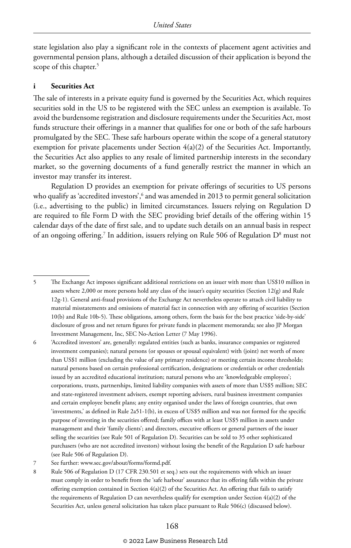state legislation also play a significant role in the contexts of placement agent activities and governmental pension plans, although a detailed discussion of their application is beyond the scope of this chapter.<sup>5</sup>

#### **i Securities Act**

The sale of interests in a private equity fund is governed by the Securities Act, which requires securities sold in the US to be registered with the SEC unless an exemption is available. To avoid the burdensome registration and disclosure requirements under the Securities Act, most funds structure their offerings in a manner that qualifies for one or both of the safe harbours promulgated by the SEC. These safe harbours operate within the scope of a general statutory exemption for private placements under Section 4(a)(2) of the Securities Act. Importantly, the Securities Act also applies to any resale of limited partnership interests in the secondary market, so the governing documents of a fund generally restrict the manner in which an investor may transfer its interest.

Regulation D provides an exemption for private offerings of securities to US persons who qualify as 'accredited investors',<sup>6</sup> and was amended in 2013 to permit general solicitation (i.e., advertising to the public) in limited circumstances. Issuers relying on Regulation D are required to file Form D with the SEC providing brief details of the offering within 15 calendar days of the date of first sale, and to update such details on an annual basis in respect of an ongoing offering.<sup>7</sup> In addition, issuers relying on Rule 506 of Regulation  $\mathrm{D}^{\mathrm{s}}$  must not

<sup>5</sup> The Exchange Act imposes significant additional restrictions on an issuer with more than US\$10 million in assets where 2,000 or more persons hold any class of the issuer's equity securities (Section 12(g) and Rule 12g-1). General anti-fraud provisions of the Exchange Act nevertheless operate to attach civil liability to material misstatements and omissions of material fact in connection with any offering of securities (Section 10(b) and Rule 10b-5). These obligations, among others, form the basis for the best practice 'side-by-side' disclosure of gross and net return figures for private funds in placement memoranda; see also JP Morgan Investment Management, Inc, SEC No-Action Letter (7 May 1996).

<sup>6</sup> 'Accredited investors' are, generally: regulated entities (such as banks, insurance companies or registered investment companies); natural persons (or spouses or spousal equivalent) with (joint) net worth of more than US\$1 million (excluding the value of any primary residence) or meeting certain income thresholds; natural persons based on certain professional certification, designations or credentials or other credentials issued by an accredited educational institution; natural persons who are 'knowledgeable employees'; corporations, trusts, partnerships, limited liability companies with assets of more than US\$5 million; SEC and state-registered investment advisers, exempt reporting advisers, rural business investment companies and certain employee benefit plans; any entity organised under the laws of foreign countries, that own 'investments,' as defined in Rule 2a51-1(b), in excess of US\$5 million and was not formed for the specific purpose of investing in the securities offered; family offices with at least US\$5 million in assets under management and their 'family clients'; and directors, executive officers or general partners of the issuer selling the securities (see Rule 501 of Regulation D). Securities can be sold to 35 other sophisticated purchasers (who are not accredited investors) without losing the benefit of the Regulation D safe harbour (see Rule 506 of Regulation D).

<sup>7</sup> See further: www.sec.gov/about/forms/formd.pdf.

<sup>8</sup> Rule 506 of Regulation D (17 CFR 230.501 et seq.) sets out the requirements with which an issuer must comply in order to benefit from the 'safe harbour' assurance that its offering falls within the private offering exemption contained in Section 4(a)(2) of the Securities Act. An offering that fails to satisfy the requirements of Regulation D can nevertheless qualify for exemption under Section 4(a)(2) of the Securities Act, unless general solicitation has taken place pursuant to Rule 506(c) (discussed below).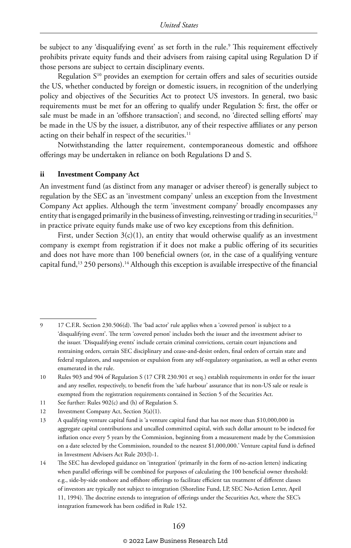be subject to any 'disqualifying event' as set forth in the rule.<sup>9</sup> This requirement effectively prohibits private equity funds and their advisers from raising capital using Regulation D if those persons are subject to certain disciplinary events.

Regulation S<sup>10</sup> provides an exemption for certain offers and sales of securities outside the US, whether conducted by foreign or domestic issuers, in recognition of the underlying policy and objectives of the Securities Act to protect US investors. In general, two basic requirements must be met for an offering to qualify under Regulation S: first, the offer or sale must be made in an 'offshore transaction'; and second, no 'directed selling efforts' may be made in the US by the issuer, a distributor, any of their respective affiliates or any person acting on their behalf in respect of the securities.<sup>11</sup>

Notwithstanding the latter requirement, contemporaneous domestic and offshore offerings may be undertaken in reliance on both Regulations D and S.

#### **ii Investment Company Act**

An investment fund (as distinct from any manager or adviser thereof) is generally subject to regulation by the SEC as an 'investment company' unless an exception from the Investment Company Act applies. Although the term 'investment company' broadly encompasses any entity that is engaged primarily in the business of investing, reinvesting or trading in securities, $12$ in practice private equity funds make use of two key exceptions from this definition.

First, under Section  $3(c)(1)$ , an entity that would otherwise qualify as an investment company is exempt from registration if it does not make a public offering of its securities and does not have more than 100 beneficial owners (or, in the case of a qualifying venture capital fund,13 250 persons).14 Although this exception is available irrespective of the financial

- 11 See further: Rules 902(c) and (h) of Regulation S.
- 12 Investment Company Act, Section 3(a)(1).

14 The SEC has developed guidance on 'integration' (primarily in the form of no-action letters) indicating when parallel offerings will be combined for purposes of calculating the 100 beneficial owner threshold: e.g., side-by-side onshore and offshore offerings to facilitate efficient tax treatment of different classes of investors are typically not subject to integration (Shoreline Fund, LP, SEC No-Action Letter, April 11, 1994). The doctrine extends to integration of offerings under the Securities Act, where the SEC's integration framework has been codified in Rule 152.

#### © 2022 Law Business Research Ltd

<sup>9</sup> 17 C.F.R. Section 230.506(d). The 'bad actor' rule applies when a 'covered person' is subject to a 'disqualifying event'. The term 'covered person' includes both the issuer and the investment adviser to the issuer. 'Disqualifying events' include certain criminal convictions, certain court injunctions and restraining orders, certain SEC disciplinary and cease-and-desist orders, final orders of certain state and federal regulators, and suspension or expulsion from any self-regulatory organisation, as well as other events enumerated in the rule.

<sup>10</sup> Rules 903 and 904 of Regulation S (17 CFR 230.901 et seq.) establish requirements in order for the issuer and any reseller, respectively, to benefit from the 'safe harbour' assurance that its non-US sale or resale is exempted from the registration requirements contained in Section 5 of the Securities Act.

<sup>13</sup> A qualifying venture capital fund is 'a venture capital fund that has not more than \$10,000,000 in aggregate capital contributions and uncalled committed capital, with such dollar amount to be indexed for inflation once every 5 years by the Commission, beginning from a measurement made by the Commission on a date selected by the Commission, rounded to the nearest \$1,000,000.' Venture capital fund is defined in Investment Advisers Act Rule 203(l)-1.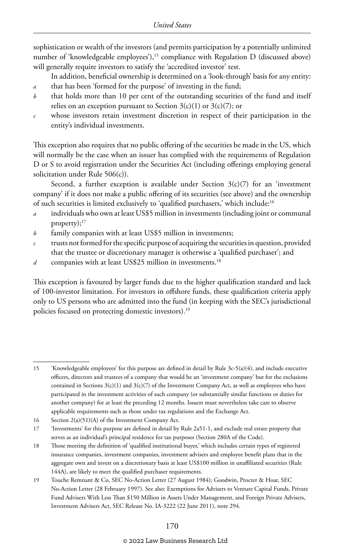sophistication or wealth of the investors (and permits participation by a potentially unlimited number of 'knowledgeable employees'), $15$  compliance with Regulation D (discussed above) will generally require investors to satisfy the 'accredited investor' test.

- In addition, beneficial ownership is determined on a 'look-through' basis for any entity: *a* that has been 'formed for the purpose' of investing in the fund;
- *b* that holds more than 10 per cent of the outstanding securities of the fund and itself relies on an exception pursuant to Section  $3(c)(1)$  or  $3(c)(7)$ ; or
- *c* whose investors retain investment discretion in respect of their participation in the entity's individual investments.

This exception also requires that no public offering of the securities be made in the US, which will normally be the case when an issuer has complied with the requirements of Regulation D or S to avoid registration under the Securities Act (including offerings employing general solicitation under Rule 506(c)).

Second, a further exception is available under Section  $3(c)(7)$  for an 'investment company' if it does not make a public offering of its securities (see above) and the ownership of such securities is limited exclusively to 'qualified purchasers,' which include:16

- *a* individuals who own at least US\$5 million in investments (including joint or communal property); $17$
- *b* family companies with at least US\$5 million in investments;
- *c* trusts not formed for the specific purpose of acquiring the securities in question, provided that the trustee or discretionary manager is otherwise a 'qualified purchaser'; and
- *d* companies with at least US\$25 million in investments.18

This exception is favoured by larger funds due to the higher qualification standard and lack of 100-investor limitation. For investors in offshore funds, these qualification criteria apply only to US persons who are admitted into the fund (in keeping with the SEC's jurisdictional policies focused on protecting domestic investors).<sup>19</sup>

<sup>15</sup> 'Knowledgeable employees' for this purpose are defined in detail by Rule 3c-5(a)(4), and include executive officers, directors and trustees of a company that would be an 'investment company' but for the exclusions contained in Sections  $3(c)(1)$  and  $3(c)(7)$  of the Investment Company Act, as well as employees who have participated in the investment activities of such company (or substantially similar functions or duties for another company) for at least the preceding 12 months. Issuers must nevertheless take care to observe applicable requirements such as those under tax regulations and the Exchange Act.

<sup>16</sup> Section 2(a)(51)(A) of the Investment Company Act.

<sup>17</sup> 'Investments' for this purpose are defined in detail by Rule 2a51-1, and exclude real estate property that serves as an individual's principal residence for tax purposes (Section 280A of the Code).

<sup>18</sup> Those meeting the definition of 'qualified institutional buyer,' which includes certain types of registered insurance companies, investment companies, investment advisers and employee benefit plans that in the aggregate own and invest on a discretionary basis at least US\$100 million in unaffiliated securities (Rule 144A), are likely to meet the qualified purchaser requirements.

<sup>19</sup> Touche Remnant & Co, SEC No-Action Letter (27 August 1984); Goodwin, Procter & Hoar, SEC No-Action Letter (28 February 1997). See also: Exemptions for Advisers to Venture Capital Funds, Private Fund Advisers With Less Than \$150 Million in Assets Under Management, and Foreign Private Advisers, Investment Advisers Act, SEC Release No. IA-3222 (22 June 2011), note 294.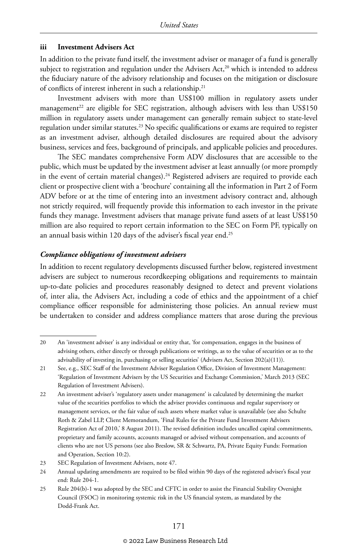#### **iii Investment Advisers Act**

In addition to the private fund itself, the investment adviser or manager of a fund is generally subject to registration and regulation under the Advisers Act, $20$  which is intended to address the fiduciary nature of the advisory relationship and focuses on the mitigation or disclosure of conflicts of interest inherent in such a relationship.<sup>21</sup>

Investment advisers with more than US\$100 million in regulatory assets under management<sup>22</sup> are eligible for SEC registration, although advisers with less than  $US$150$ million in regulatory assets under management can generally remain subject to state-level regulation under similar statutes.<sup>23</sup> No specific qualifications or exams are required to register as an investment adviser, although detailed disclosures are required about the advisory business, services and fees, background of principals, and applicable policies and procedures.

The SEC mandates comprehensive Form ADV disclosures that are accessible to the public, which must be updated by the investment adviser at least annually (or more promptly in the event of certain material changes).<sup>24</sup> Registered advisers are required to provide each client or prospective client with a 'brochure' containing all the information in Part 2 of Form ADV before or at the time of entering into an investment advisory contract and, although not strictly required, will frequently provide this information to each investor in the private funds they manage. Investment advisers that manage private fund assets of at least US\$150 million are also required to report certain information to the SEC on Form PF, typically on an annual basis within 120 days of the adviser's fiscal year end.<sup>25</sup>

#### *Compliance obligations of investment advisers*

In addition to recent regulatory developments discussed further below, registered investment advisers are subject to numerous recordkeeping obligations and requirements to maintain up-to-date policies and procedures reasonably designed to detect and prevent violations of, inter alia, the Advisers Act, including a code of ethics and the appointment of a chief compliance officer responsible for administering those policies. An annual review must be undertaken to consider and address compliance matters that arose during the previous

<sup>20</sup> An 'investment adviser' is any individual or entity that, 'for compensation, engages in the business of advising others, either directly or through publications or writings, as to the value of securities or as to the advisability of investing in, purchasing or selling securities' (Advisers Act, Section 202(a)(11)).

<sup>21</sup> See, e.g., SEC Staff of the Investment Adviser Regulation Office, Division of Investment Management: 'Regulation of Investment Advisers by the US Securities and Exchange Commission,' March 2013 (SEC Regulation of Investment Advisers).

<sup>22</sup> An investment adviser's 'regulatory assets under management' is calculated by determining the market value of the securities portfolios to which the adviser provides continuous and regular supervisory or management services, or the fair value of such assets where market value is unavailable (see also Schulte Roth & Zabel LLP, Client Memorandum, 'Final Rules for the Private Fund Investment Advisers Registration Act of 2010,' 8 August 2011). The revised definition includes uncalled capital commitments, proprietary and family accounts, accounts managed or advised without compensation, and accounts of clients who are not US persons (see also Breslow, SR & Schwartz, PA, Private Equity Funds: Formation and Operation, Section 10:2).

<sup>23</sup> SEC Regulation of Investment Advisers, note 47.

<sup>24</sup> Annual updating amendments are required to be filed within 90 days of the registered adviser's fiscal year end: Rule 204-1.

<sup>25</sup> Rule 204(b)-1 was adopted by the SEC and CFTC in order to assist the Financial Stability Oversight Council (FSOC) in monitoring systemic risk in the US financial system, as mandated by the Dodd-Frank Act.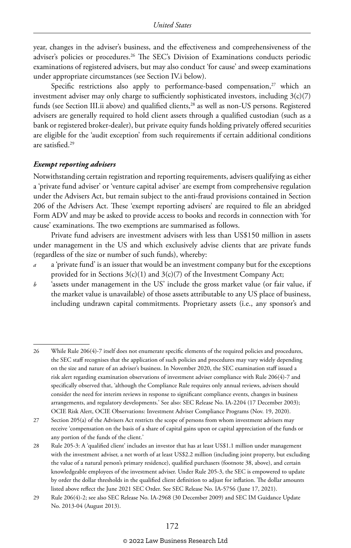year, changes in the adviser's business, and the effectiveness and comprehensiveness of the adviser's policies or procedures.26 The SEC's Division of Examinations conducts periodic examinations of registered advisers, but may also conduct 'for cause' and sweep examinations under appropriate circumstances (see Section IV.i below).

Specific restrictions also apply to performance-based compensation, $27$  which an investment adviser may only charge to sufficiently sophisticated investors, including  $3(c)(7)$ funds (see Section III.ii above) and qualified clients,<sup>28</sup> as well as non-US persons. Registered advisers are generally required to hold client assets through a qualified custodian (such as a bank or registered broker-dealer), but private equity funds holding privately offered securities are eligible for the 'audit exception' from such requirements if certain additional conditions are satisfied.29

#### *Exempt reporting advisers*

Notwithstanding certain registration and reporting requirements, advisers qualifying as either a 'private fund adviser' or 'venture capital adviser' are exempt from comprehensive regulation under the Advisers Act, but remain subject to the anti-fraud provisions contained in Section 206 of the Advisers Act. These 'exempt reporting advisers' are required to file an abridged Form ADV and may be asked to provide access to books and records in connection with 'for cause' examinations. The two exemptions are summarised as follows.

Private fund advisers are investment advisers with less than US\$150 million in assets under management in the US and which exclusively advise clients that are private funds (regardless of the size or number of such funds), whereby:

- *a* a 'private fund' is an issuer that would be an investment company but for the exceptions provided for in Sections  $3(c)(1)$  and  $3(c)(7)$  of the Investment Company Act;
- *b* 'assets under management in the US' include the gross market value (or fair value, if the market value is unavailable) of those assets attributable to any US place of business, including undrawn capital commitments. Proprietary assets (i.e., any sponsor's and

<sup>26</sup> While Rule 206(4)-7 itself does not enumerate specific elements of the required policies and procedures, the SEC staff recognises that the application of such policies and procedures may vary widely depending on the size and nature of an adviser's business. In November 2020, the SEC examination staff issued a risk alert regarding examination observations of investment adviser compliance with Rule 206(4)-7 and specifically observed that, 'although the Compliance Rule requires only annual reviews, advisers should consider the need for interim reviews in response to significant compliance events, changes in business arrangements, and regulatory developments.' See also: SEC Release No. IA-2204 (17 December 2003); OCIE Risk Alert, OCIE Observations: Investment Adviser Compliance Programs (Nov. 19, 2020).

<sup>27</sup> Section 205(a) of the Advisers Act restricts the scope of persons from whom investment advisers may receive 'compensation on the basis of a share of capital gains upon or capital appreciation of the funds or any portion of the funds of the client.'

<sup>28</sup> Rule 205-3: A 'qualified client' includes an investor that has at least US\$1.1 million under management with the investment adviser, a net worth of at least US\$2.2 million (including joint property, but excluding the value of a natural person's primary residence), qualified purchasers (footnote 38, above), and certain knowledgeable employees of the investment adviser. Under Rule 205-3, the SEC is empowered to update by order the dollar thresholds in the qualified client definition to adjust for inflation. The dollar amounts listed above reflect the June 2021 SEC Order. See SEC Release No. IA-5756 (June 17, 2021).

<sup>29</sup> Rule 206(4)-2; see also SEC Release No. IA-2968 (30 December 2009) and SEC IM Guidance Update No. 2013-04 (August 2013).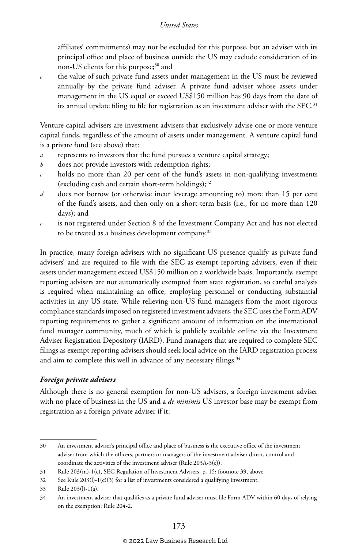affiliates' commitments) may not be excluded for this purpose, but an adviser with its principal office and place of business outside the US may exclude consideration of its non-US clients for this purpose;<sup>30</sup> and

*c* the value of such private fund assets under management in the US must be reviewed annually by the private fund adviser. A private fund adviser whose assets under management in the US equal or exceed US\$150 million has 90 days from the date of its annual update filing to file for registration as an investment adviser with the SEC.<sup>31</sup>

Venture capital advisers are investment advisers that exclusively advise one or more venture capital funds, regardless of the amount of assets under management. A venture capital fund is a private fund (see above) that:

- *a* represents to investors that the fund pursues a venture capital strategy;
- *b* does not provide investors with redemption rights;
- *c* holds no more than 20 per cent of the fund's assets in non-qualifying investments (excluding cash and certain short-term holdings); $32$
- *d* does not borrow (or otherwise incur leverage amounting to) more than 15 per cent of the fund's assets, and then only on a short-term basis (i.e., for no more than 120 days); and
- *e* is not registered under Section 8 of the Investment Company Act and has not elected to be treated as a business development company.<sup>33</sup>

In practice, many foreign advisers with no significant US presence qualify as private fund advisers' and are required to file with the SEC as exempt reporting advisers, even if their assets under management exceed US\$150 million on a worldwide basis. Importantly, exempt reporting advisers are not automatically exempted from state registration, so careful analysis is required when maintaining an office, employing personnel or conducting substantial activities in any US state. While relieving non-US fund managers from the most rigorous compliance standards imposed on registered investment advisers, the SEC uses the Form ADV reporting requirements to gather a significant amount of information on the international fund manager community, much of which is publicly available online via the Investment Adviser Registration Depository (IARD). Fund managers that are required to complete SEC filings as exempt reporting advisers should seek local advice on the IARD registration process and aim to complete this well in advance of any necessary filings.<sup>34</sup>

#### *Foreign private advisers*

Although there is no general exemption for non-US advisers, a foreign investment adviser with no place of business in the US and a *de minimis* US investor base may be exempt from registration as a foreign private adviser if it:

<sup>30</sup> An investment adviser's principal office and place of business is the executive office of the investment adviser from which the officers, partners or managers of the investment adviser direct, control and coordinate the activities of the investment adviser (Rule 203A-3(c)).

<sup>31</sup> Rule 203(m)-1(c), SEC Regulation of Investment Advisers, p. 15; footnote 39, above.

<sup>32</sup> See Rule 203(l)-1(c)(3) for a list of investments considered a qualifying investment.

<sup>33</sup> Rule 203(l)-1(a).

<sup>34</sup> An investment adviser that qualifies as a private fund adviser must file Form ADV within 60 days of relying on the exemption: Rule 204-2.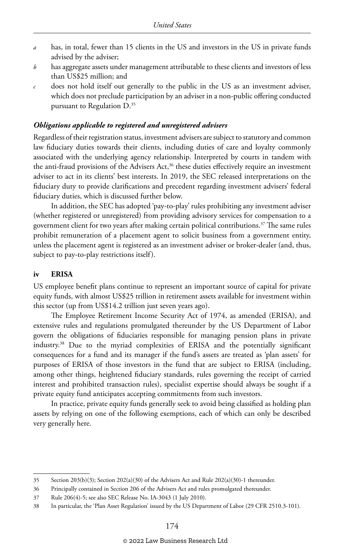- *a* has, in total, fewer than 15 clients in the US and investors in the US in private funds advised by the adviser;
- *b* has aggregate assets under management attributable to these clients and investors of less than US\$25 million; and
- *c* does not hold itself out generally to the public in the US as an investment adviser, which does not preclude participation by an adviser in a non-public offering conducted pursuant to Regulation D.<sup>35</sup>

#### *Obligations applicable to registered and unregistered advisers*

Regardless of their registration status, investment advisers are subject to statutory and common law fiduciary duties towards their clients, including duties of care and loyalty commonly associated with the underlying agency relationship. Interpreted by courts in tandem with the anti-fraud provisions of the Advisers Act,<sup>36</sup> these duties effectively require an investment adviser to act in its clients' best interests. In 2019, the SEC released interpretations on the fiduciary duty to provide clarifications and precedent regarding investment advisers' federal fiduciary duties, which is discussed further below.

In addition, the SEC has adopted 'pay-to-play' rules prohibiting any investment adviser (whether registered or unregistered) from providing advisory services for compensation to a government client for two years after making certain political contributions.<sup>37</sup> The same rules prohibit remuneration of a placement agent to solicit business from a government entity, unless the placement agent is registered as an investment adviser or broker-dealer (and, thus, subject to pay-to-play restrictions itself).

#### **iv ERISA**

US employee benefit plans continue to represent an important source of capital for private equity funds, with almost US\$25 trillion in retirement assets available for investment within this sector (up from US\$14.2 trillion just seven years ago).

The Employee Retirement Income Security Act of 1974, as amended (ERISA), and extensive rules and regulations promulgated thereunder by the US Department of Labor govern the obligations of fiduciaries responsible for managing pension plans in private industry.38 Due to the myriad complexities of ERISA and the potentially significant consequences for a fund and its manager if the fund's assets are treated as 'plan assets' for purposes of ERISA of those investors in the fund that are subject to ERISA (including, among other things, heightened fiduciary standards, rules governing the receipt of carried interest and prohibited transaction rules), specialist expertise should always be sought if a private equity fund anticipates accepting commitments from such investors.

In practice, private equity funds generally seek to avoid being classified as holding plan assets by relying on one of the following exemptions, each of which can only be described very generally here.

<sup>35</sup> Section 203(b)(3); Section 202(a)(30) of the Advisers Act and Rule 202(a)(30)-1 thereunder.

<sup>36</sup> Principally contained in Section 206 of the Advisers Act and rules promulgated thereunder.

<sup>37</sup> Rule 206(4)-5; see also SEC Release No. IA-3043 (1 July 2010).

<sup>38</sup> In particular, the 'Plan Asset Regulation' issued by the US Department of Labor (29 CFR 2510.3-101).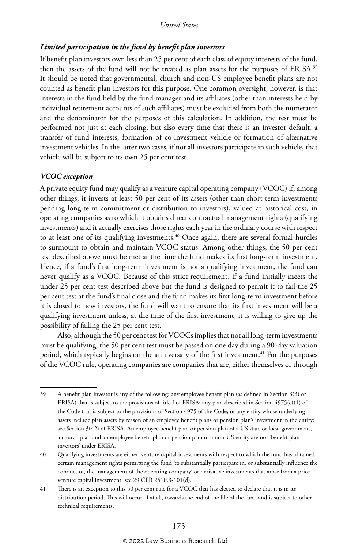#### *Limited participation in the fund by benefit plan investors*

If benefit plan investors own less than 25 per cent of each class of equity interests of the fund, then the assets of the fund will not be treated as plan assets for the purposes of ERISA.39 It should be noted that governmental, church and non-US employee benefit plans are not counted as benefit plan investors for this purpose. One common oversight, however, is that interests in the fund held by the fund manager and its affiliates (other than interests held by individual retirement accounts of such affiliates) must be excluded from both the numerator and the denominator for the purposes of this calculation. In addition, the test must be performed not just at each closing, but also every time that there is an investor default, a transfer of fund interests, formation of co-investment vehicle or formation of alternative investment vehicles. In the latter two cases, if not all investors participate in such vehicle, that vehicle will be subject to its own 25 per cent test.

#### *VCOC exception*

A private equity fund may qualify as a venture capital operating company (VCOC) if, among other things, it invests at least 50 per cent of its assets (other than short-term investments pending long-term commitment or distribution to investors), valued at historical cost, in operating companies as to which it obtains direct contractual management rights (qualifying investments) and it actually exercises those rights each year in the ordinary course with respect to at least one of its qualifying investments.<sup>40</sup> Once again, there are several formal hurdles to surmount to obtain and maintain VCOC status. Among other things, the 50 per cent test described above must be met at the time the fund makes its first long-term investment. Hence, if a fund's first long-term investment is not a qualifying investment, the fund can never qualify as a VCOC. Because of this strict requirement, if a fund initially meets the under 25 per cent test described above but the fund is designed to permit it to fail the 25 per cent test at the fund's final close and the fund makes its first long-term investment before it is closed to new investors, the fund will want to ensure that its first investment will be a qualifying investment unless, at the time of the first investment, it is willing to give up the possibility of failing the 25 per cent test.

Also, although the 50 per cent test for VCOCs implies that not all long-term investments must be qualifying, the 50 per cent test must be passed on one day during a 90-day valuation period, which typically begins on the anniversary of the first investment.<sup>41</sup> For the purposes of the VCOC rule, operating companies are companies that are, either themselves or through

<sup>39</sup> A benefit plan investor is any of the following: any employee benefit plan (as defined in Section 3(3) of ERISA) that is subject to the provisions of title I of ERISA; any plan described in Section 4975(e)(1) of the Code that is subject to the provisions of Section 4975 of the Code; or any entity whose underlying assets include plan assets by reason of an employee benefit plans or pension plan's investment in the entity: see Section 3(42) of ERISA. An employee benefit plan or pension plan of a US state or local government, a church plan and an employee benefit plan or pension plan of a non-US entity are not 'benefit plan investors' under ERISA.

<sup>40</sup> Qualifying investments are either: venture capital investments with respect to which the fund has obtained certain management rights permitting the fund 'to substantially participate in, or substantially influence the conduct of, the management of the operating company' or derivative investments that arose from a prior venture capital investment: see 29 CFR 2510.3-101(d).

<sup>41</sup> There is an exception to this 50 per cent rule for a VCOC that has elected to declare that it is in its distribution period. This will occur, if at all, towards the end of the life of the fund and is subject to other technical requirements.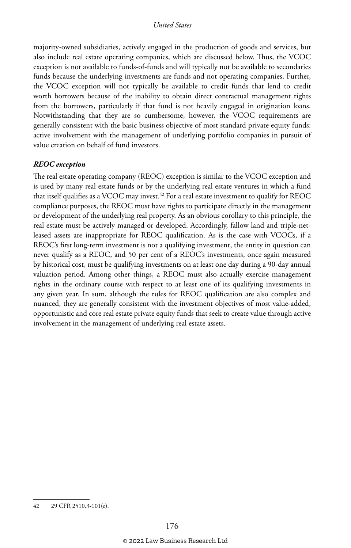majority-owned subsidiaries, actively engaged in the production of goods and services, but also include real estate operating companies, which are discussed below. Thus, the VCOC exception is not available to funds-of-funds and will typically not be available to secondaries funds because the underlying investments are funds and not operating companies. Further, the VCOC exception will not typically be available to credit funds that lend to credit worth borrowers because of the inability to obtain direct contractual management rights from the borrowers, particularly if that fund is not heavily engaged in origination loans. Notwithstanding that they are so cumbersome, however, the VCOC requirements are generally consistent with the basic business objective of most standard private equity funds: active involvement with the management of underlying portfolio companies in pursuit of value creation on behalf of fund investors.

#### *REOC exception*

The real estate operating company (REOC) exception is similar to the VCOC exception and is used by many real estate funds or by the underlying real estate ventures in which a fund that itself qualifies as a VCOC may invest.42 For a real estate investment to qualify for REOC compliance purposes, the REOC must have rights to participate directly in the management or development of the underlying real property. As an obvious corollary to this principle, the real estate must be actively managed or developed. Accordingly, fallow land and triple-netleased assets are inappropriate for REOC qualification. As is the case with VCOCs, if a REOC's first long-term investment is not a qualifying investment, the entity in question can never qualify as a REOC, and 50 per cent of a REOC's investments, once again measured by historical cost, must be qualifying investments on at least one day during a 90-day annual valuation period. Among other things, a REOC must also actually exercise management rights in the ordinary course with respect to at least one of its qualifying investments in any given year. In sum, although the rules for REOC qualification are also complex and nuanced, they are generally consistent with the investment objectives of most value-added, opportunistic and core real estate private equity funds that seek to create value through active involvement in the management of underlying real estate assets.

<sup>42</sup> 29 CFR 2510.3-101(e).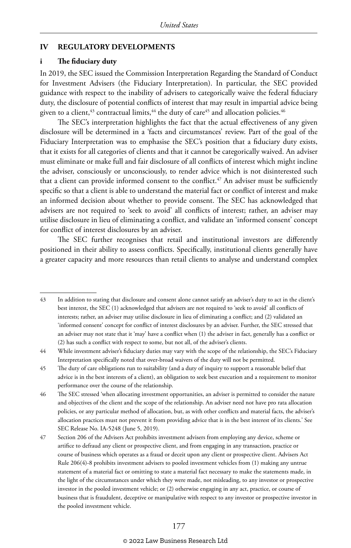#### **IV REGULATORY DEVELOPMENTS**

#### **i The fiduciary duty**

In 2019, the SEC issued the Commission Interpretation Regarding the Standard of Conduct for Investment Advisers (the Fiduciary Interpretation). In particular, the SEC provided guidance with respect to the inability of advisers to categorically waive the federal fiduciary duty, the disclosure of potential conflicts of interest that may result in impartial advice being given to a client,<sup>43</sup> contractual limits,<sup>44</sup> the duty of care<sup>45</sup> and allocation policies.<sup>46</sup>

The SEC's interpretation highlights the fact that the actual effectiveness of any given disclosure will be determined in a 'facts and circumstances' review. Part of the goal of the Fiduciary Interpretation was to emphasise the SEC's position that a fiduciary duty exists, that it exists for all categories of clients and that it cannot be categorically waived. An adviser must eliminate or make full and fair disclosure of all conflicts of interest which might incline the adviser, consciously or unconsciously, to render advice which is not disinterested such that a client can provide informed consent to the conflict.<sup>47</sup> An adviser must be sufficiently specific so that a client is able to understand the material fact or conflict of interest and make an informed decision about whether to provide consent. The SEC has acknowledged that advisers are not required to 'seek to avoid' all conflicts of interest; rather, an adviser may utilise disclosure in lieu of eliminating a conflict, and validate an 'informed consent' concept for conflict of interest disclosures by an adviser.

The SEC further recognises that retail and institutional investors are differently positioned in their ability to assess conflicts. Specifically, institutional clients generally have a greater capacity and more resources than retail clients to analyse and understand complex

<sup>43</sup> In addition to stating that disclosure and consent alone cannot satisfy an adviser's duty to act in the client's best interest, the SEC (1) acknowledged that advisers are not required to 'seek to avoid' all conflicts of interests; rather, an adviser may utilise disclosure in lieu of eliminating a conflict; and (2) validated an 'informed consent' concept for conflict of interest disclosures by an adviser. Further, the SEC stressed that an adviser may not state that it 'may' have a conflict when (1) the adviser in fact, generally has a conflict or (2) has such a conflict with respect to some, but not all, of the adviser's clients.

<sup>44</sup> While investment adviser's fiduciary duties may vary with the scope of the relationship, the SEC's Fiduciary Interpretation specifically noted that over-broad waivers of the duty will not be permitted.

<sup>45</sup> The duty of care obligations run to suitability (and a duty of inquiry to support a reasonable belief that advice is in the best interests of a client), an obligation to seek best execution and a requirement to monitor performance over the course of the relationship.

<sup>46</sup> The SEC stressed 'when allocating investment opportunities, an adviser is permitted to consider the nature and objectives of the client and the scope of the relationship. An adviser need not have pro rata allocation policies, or any particular method of allocation, but, as with other conflicts and material facts, the adviser's allocation practices must not prevent it from providing advice that is in the best interest of its clients.' See SEC Release No. IA-5248 (June 5, 2019).

<sup>47</sup> Section 206 of the Advisers Act prohibits investment advisers from employing any device, scheme or artifice to defraud any client or prospective client, and from engaging in any transaction, practice or course of business which operates as a fraud or deceit upon any client or prospective client. Advisers Act Rule 206(4)-8 prohibits investment advisers to pooled investment vehicles from (1) making any untrue statement of a material fact or omitting to state a material fact necessary to make the statements made, in the light of the circumstances under which they were made, not misleading, to any investor or prospective investor in the pooled investment vehicle; or (2) otherwise engaging in any act, practice, or course of business that is fraudulent, deceptive or manipulative with respect to any investor or prospective investor in the pooled investment vehicle.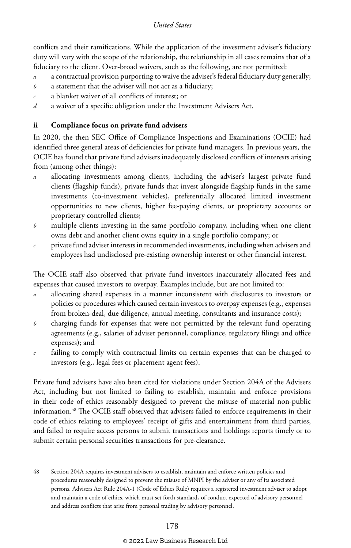conflicts and their ramifications. While the application of the investment adviser's fiduciary duty will vary with the scope of the relationship, the relationship in all cases remains that of a fiduciary to the client. Over-broad waivers, such as the following, are not permitted:

- *a* a contractual provision purporting to waive the adviser's federal fiduciary duty generally;
- *b* a statement that the adviser will not act as a fiduciary;
- *c* a blanket waiver of all conflicts of interest; or
- *d* a waiver of a specific obligation under the Investment Advisers Act.

#### **ii Compliance focus on private fund advisers**

In 2020, the then SEC Office of Compliance Inspections and Examinations (OCIE) had identified three general areas of deficiencies for private fund managers. In previous years, the OCIE has found that private fund advisers inadequately disclosed conflicts of interests arising from (among other things):

- *a* allocating investments among clients, including the adviser's largest private fund clients (flagship funds), private funds that invest alongside flagship funds in the same investments (co-investment vehicles), preferentially allocated limited investment opportunities to new clients, higher fee-paying clients, or proprietary accounts or proprietary controlled clients;
- *b* multiple clients investing in the same portfolio company, including when one client owns debt and another client owns equity in a single portfolio company; or
- *c* private fund adviser interests in recommended investments, including when advisers and employees had undisclosed pre-existing ownership interest or other financial interest.

The OCIE staff also observed that private fund investors inaccurately allocated fees and expenses that caused investors to overpay. Examples include, but are not limited to:

- *a* allocating shared expenses in a manner inconsistent with disclosures to investors or policies or procedures which caused certain investors to overpay expenses (e.g., expenses from broken-deal, due diligence, annual meeting, consultants and insurance costs);
- *b* charging funds for expenses that were not permitted by the relevant fund operating agreements (e.g., salaries of adviser personnel, compliance, regulatory filings and office expenses); and
- *c* failing to comply with contractual limits on certain expenses that can be charged to investors (e.g., legal fees or placement agent fees).

Private fund advisers have also been cited for violations under Section 204A of the Advisers Act, including but not limited to failing to establish, maintain and enforce provisions in their code of ethics reasonably designed to prevent the misuse of material non-public information.<sup>48</sup> The OCIE staff observed that advisers failed to enforce requirements in their code of ethics relating to employees' receipt of gifts and entertainment from third parties, and failed to require access persons to submit transactions and holdings reports timely or to submit certain personal securities transactions for pre-clearance.

<sup>48</sup> Section 204A requires investment advisers to establish, maintain and enforce written policies and procedures reasonably designed to prevent the misuse of MNPI by the adviser or any of its associated persons. Advisers Act Rule 204A-1 (Code of Ethics Rule) requires a registered investment adviser to adopt and maintain a code of ethics, which must set forth standards of conduct expected of advisory personnel and address conflicts that arise from personal trading by advisory personnel.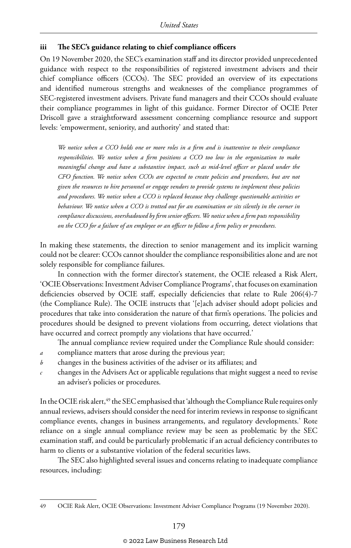#### **iii The SEC's guidance relating to chief compliance officers**

On 19 November 2020, the SEC's examination staff and its director provided unprecedented guidance with respect to the responsibilities of registered investment advisers and their chief compliance officers (CCOs). The SEC provided an overview of its expectations and identified numerous strengths and weaknesses of the compliance programmes of SEC-registered investment advisers. Private fund managers and their CCOs should evaluate their compliance programmes in light of this guidance. Former Director of OCIE Peter Driscoll gave a straightforward assessment concerning compliance resource and support levels: 'empowerment, seniority, and authority' and stated that:

*We notice when a CCO holds one or more roles in a firm and is inattentive to their compliance responsibilities. We notice when a firm positions a CCO too low in the organization to make meaningful change and have a substantive impact, such as mid-level officer or placed under the CFO function. We notice when CCOs are expected to create policies and procedures, but are not given the resources to hire personnel or engage vendors to provide systems to implement those policies and procedures. We notice when a CCO is replaced because they challenge questionable activities or behaviour. We notice when a CCO is trotted out for an examination or sits silently in the corner in compliance discussions, overshadowed by firm senior officers. We notice when a firm puts responsibility on the CCO for a failure of an employee or an officer to follow a firm policy or procedures.*

In making these statements, the direction to senior management and its implicit warning could not be clearer: CCOs cannot shoulder the compliance responsibilities alone and are not solely responsible for compliance failures.

In connection with the former director's statement, the OCIE released a Risk Alert, 'OCIE Observations: Investment Adviser Compliance Programs', that focuses on examination deficiencies observed by OCIE staff, especially deficiencies that relate to Rule 206(4)-7 (the Compliance Rule). The OCIE instructs that '[e]ach adviser should adopt policies and procedures that take into consideration the nature of that firm's operations. The policies and procedures should be designed to prevent violations from occurring, detect violations that have occurred and correct promptly any violations that have occurred.'

The annual compliance review required under the Compliance Rule should consider:

- *a* compliance matters that arose during the previous year;
- *b* changes in the business activities of the adviser or its affiliates; and
- *c* changes in the Advisers Act or applicable regulations that might suggest a need to revise an adviser's policies or procedures.

In the OCIE risk alert,<sup>49</sup> the SEC emphasised that 'although the Compliance Rule requires only annual reviews, advisers should consider the need for interim reviews in response to significant compliance events, changes in business arrangements, and regulatory developments.' Rote reliance on a single annual compliance review may be seen as problematic by the SEC examination staff, and could be particularly problematic if an actual deficiency contributes to harm to clients or a substantive violation of the federal securities laws.

The SEC also highlighted several issues and concerns relating to inadequate compliance resources, including:

<sup>49</sup> OCIE Risk Alert, OCIE Observations: Investment Adviser Compliance Programs (19 November 2020).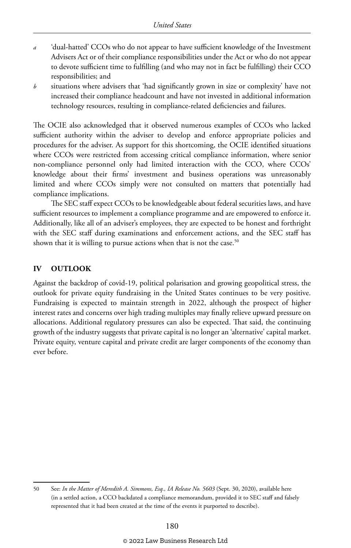- *a* 'dual-hatted' CCOs who do not appear to have sufficient knowledge of the Investment Advisers Act or of their compliance responsibilities under the Act or who do not appear to devote sufficient time to fulfilling (and who may not in fact be fulfilling) their CCO responsibilities; and
- *b* situations where advisers that 'had significantly grown in size or complexity' have not increased their compliance headcount and have not invested in additional information technology resources, resulting in compliance-related deficiencies and failures.

The OCIE also acknowledged that it observed numerous examples of CCOs who lacked sufficient authority within the adviser to develop and enforce appropriate policies and procedures for the adviser. As support for this shortcoming, the OCIE identified situations where CCOs were restricted from accessing critical compliance information, where senior non-compliance personnel only had limited interaction with the CCO, where CCOs' knowledge about their firms' investment and business operations was unreasonably limited and where CCOs simply were not consulted on matters that potentially had compliance implications.

The SEC staff expect CCOs to be knowledgeable about federal securities laws, and have sufficient resources to implement a compliance programme and are empowered to enforce it. Additionally, like all of an adviser's employees, they are expected to be honest and forthright with the SEC staff during examinations and enforcement actions, and the SEC staff has shown that it is willing to pursue actions when that is not the case.<sup>50</sup>

#### **IV OUTLOOK**

Against the backdrop of covid-19, political polarisation and growing geopolitical stress, the outlook for private equity fundraising in the United States continues to be very positive. Fundraising is expected to maintain strength in 2022, although the prospect of higher interest rates and concerns over high trading multiples may finally relieve upward pressure on allocations. Additional regulatory pressures can also be expected. That said, the continuing growth of the industry suggests that private capital is no longer an 'alternative' capital market. Private equity, venture capital and private credit are larger components of the economy than ever before.

<sup>50</sup> See: *In the Matter of Meredith A. Simmons, Esq., IA Release No. 5603* (Sept. 30, 2020), available here (in a settled action, a CCO backdated a compliance memorandum, provided it to SEC staff and falsely represented that it had been created at the time of the events it purported to describe).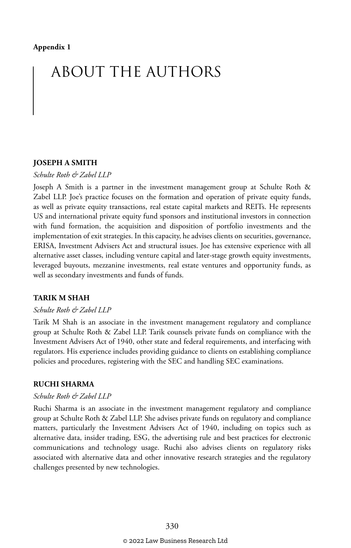## ABOUT THE AUTHORS

#### **JOSEPH A SMITH**

#### *Schulte Roth & Zabel LLP*

Joseph A Smith is a partner in the investment management group at Schulte Roth & Zabel LLP. Joe's practice focuses on the formation and operation of private equity funds, as well as private equity transactions, real estate capital markets and REITs. He represents US and international private equity fund sponsors and institutional investors in connection with fund formation, the acquisition and disposition of portfolio investments and the implementation of exit strategies. In this capacity, he advises clients on securities, governance, ERISA, Investment Advisers Act and structural issues. Joe has extensive experience with all alternative asset classes, including venture capital and later-stage growth equity investments, leveraged buyouts, mezzanine investments, real estate ventures and opportunity funds, as well as secondary investments and funds of funds.

#### **TARIK M SHAH**

#### *Schulte Roth & Zabel LLP*

Tarik M Shah is an associate in the investment management regulatory and compliance group at Schulte Roth & Zabel LLP. Tarik counsels private funds on compliance with the Investment Advisers Act of 1940, other state and federal requirements, and interfacing with regulators. His experience includes providing guidance to clients on establishing compliance policies and procedures, registering with the SEC and handling SEC examinations.

#### **RUCHI SHARMA**

#### *Schulte Roth & Zabel LLP*

Ruchi Sharma is an associate in the investment management regulatory and compliance group at Schulte Roth & Zabel LLP. She advises private funds on regulatory and compliance matters, particularly the Investment Advisers Act of 1940, including on topics such as alternative data, insider trading, ESG, the advertising rule and best practices for electronic communications and technology usage. Ruchi also advises clients on regulatory risks associated with alternative data and other innovative research strategies and the regulatory challenges presented by new technologies.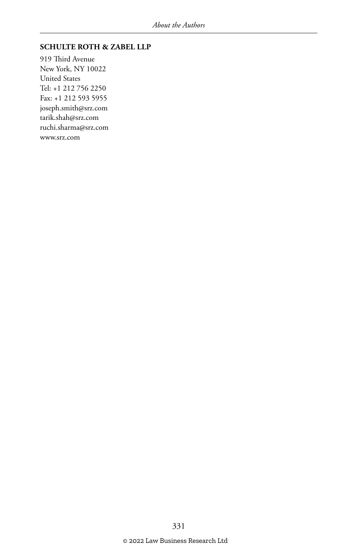#### **SCHULTE ROTH & ZABEL LLP**

919 Third Avenue New York, NY 10022 United States Tel: +1 212 756 2250 Fax: +1 212 593 5955 joseph.smith@srz.com tarik.shah@srz.com ruchi.sharma@srz.com www.srz.com